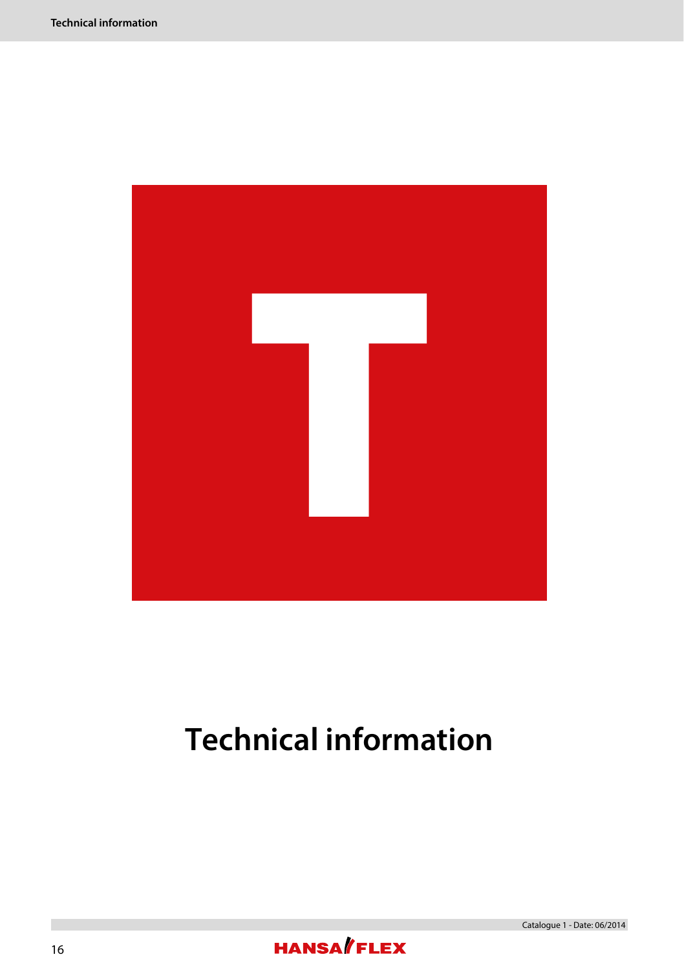

# **Technical information**

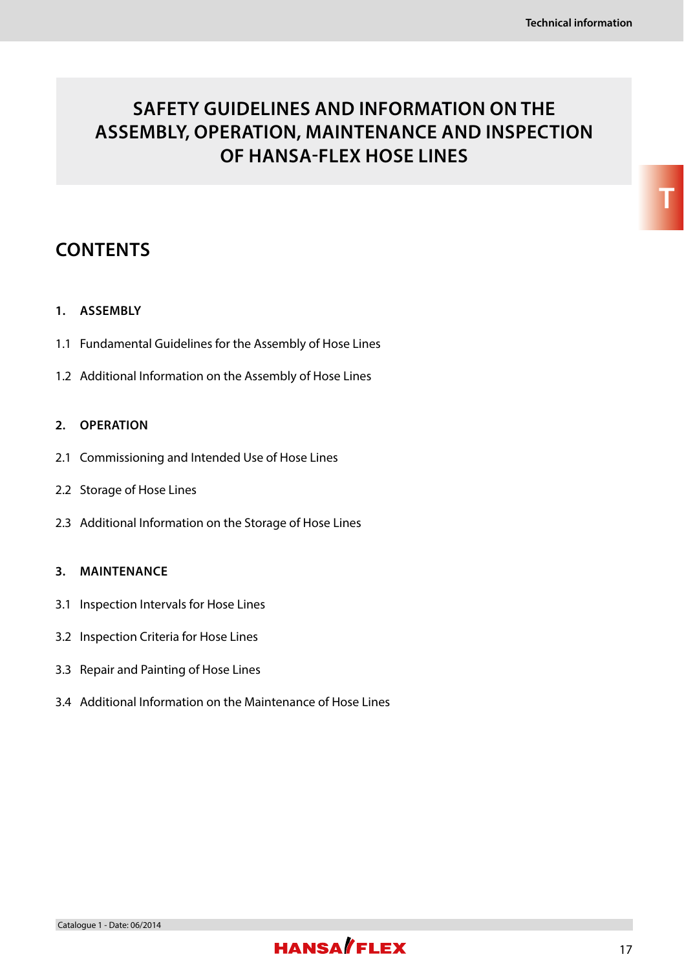# **SAFETY GUIDELINES AND INFORMATION ON THE ASSEMBLY, OPERATION, MAINTENANCE AND INSPECTION OF HANSA-FLEX HOSE LINES**

# **CONTENTS**

#### **1. ASSEMBLY**

- 1.1 Fundamental Guidelines for the Assembly of Hose Lines
- 1.2 Additional Information on the Assembly of Hose Lines

#### **2. OPERATION**

- 2.1 Commissioning and Intended Use of Hose Lines
- 2.2 Storage of Hose Lines
- 2.3 Additional Information on the Storage of Hose Lines

#### **3. MAINTENANCE**

- 3.1 Inspection Intervals for Hose Lines
- 3.2 Inspection Criteria for Hose Lines
- 3.3 Repair and Painting of Hose Lines
- 3.4 Additional Information on the Maintenance of Hose Lines

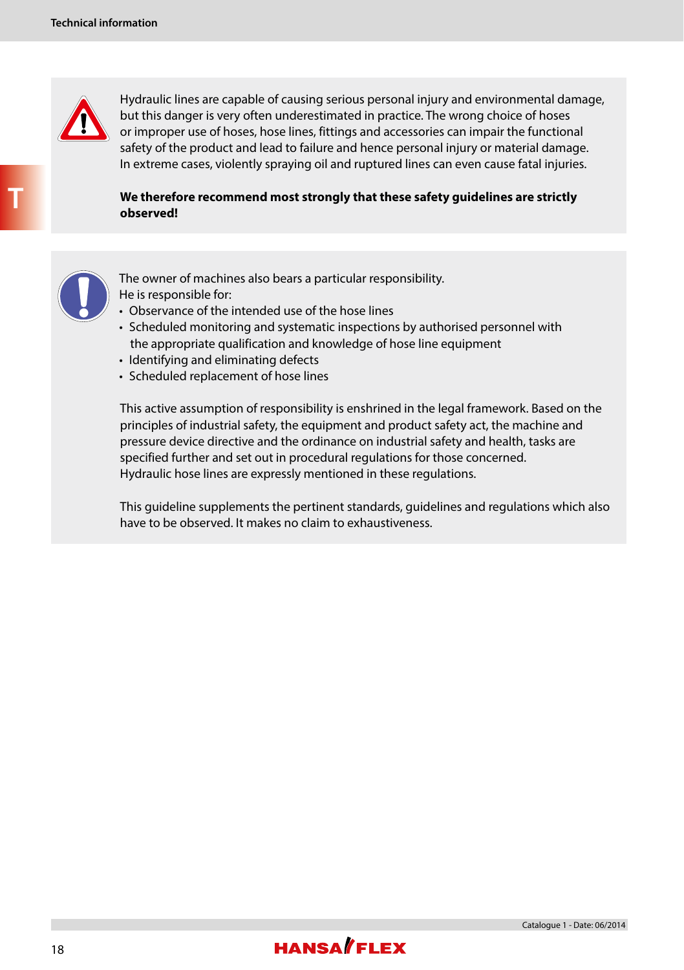

 Hydraulic lines are capable of causing serious personal injury and environmental damage, but this danger is very often underestimated in practice. The wrong choice of hoses or improper use of hoses, hose lines, fittings and accessories can impair the functional safety of the product and lead to failure and hence personal injury or material damage. In extreme cases, violently spraying oil and ruptured lines can even cause fatal injuries.

 **We therefore recommend most strongly that these safety guidelines are strictly observed!**



 The owner of machines also bears a particular responsibility. He is responsible for:

- Observance of the intended use of the hose lines
- Scheduled monitoring and systematic inspections by authorised personnel with the appropriate qualification and knowledge of hose line equipment
- Identifying and eliminating defects
- Scheduled replacement of hose lines

 This active assumption of responsibility is enshrined in the legal framework. Based on the principles of industrial safety, the equipment and product safety act, the machine and pressure device directive and the ordinance on industrial safety and health, tasks are specified further and set out in procedural regulations for those concerned. Hydraulic hose lines are expressly mentioned in these regulations.

 This guideline supplements the pertinent standards, guidelines and regulations which also have to be observed. It makes no claim to exhaustiveness.

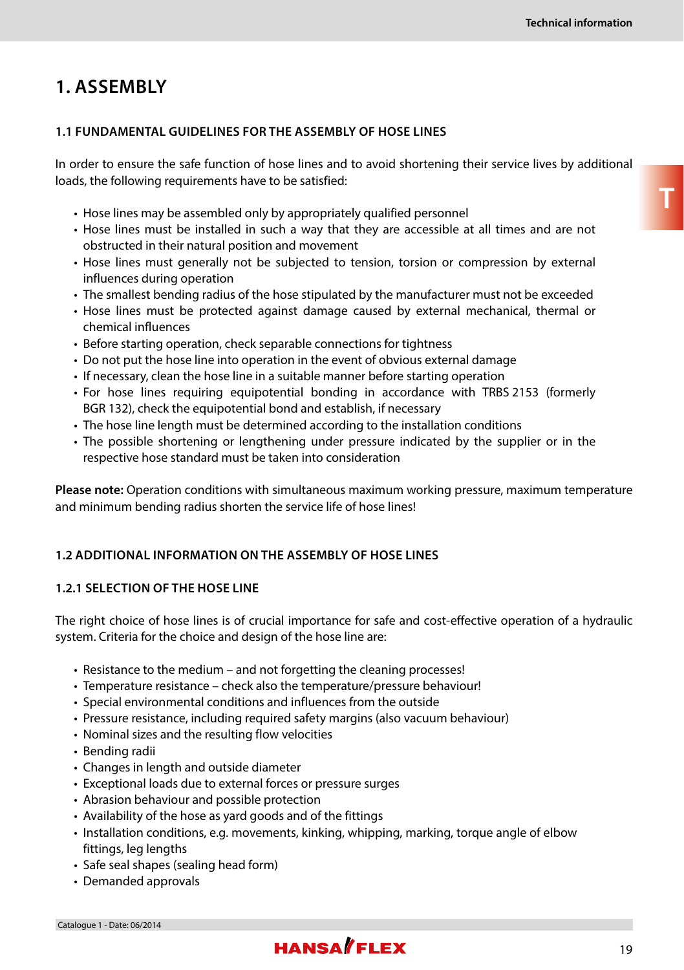# **1. ASSEMBLY**

#### **1.1 FUNDAMENTAL GUIDELINES FOR THE ASSEMBLY OF HOSE LINES**

In order to ensure the safe function of hose lines and to avoid shortening their service lives by additional loads, the following requirements have to be satisfied:

- Hose lines may be assembled only by appropriately qualified personnel
- Hose lines must be installed in such a way that they are accessible at all times and are not obstructed in their natural position and movement
- Hose lines must generally not be subjected to tension, torsion or compression by external influences during operation
- The smallest bending radius of the hose stipulated by the manufacturer must not be exceeded
- Hose lines must be protected against damage caused by external mechanical, thermal or chemical influences
- Before starting operation, check separable connections for tightness
- Do not put the hose line into operation in the event of obvious external damage
- If necessary, clean the hose line in a suitable manner before starting operation
- For hose lines requiring equipotential bonding in accordance with TRBS 2153 (formerly BGR 132), check the equipotential bond and establish, if necessary
- The hose line length must be determined according to the installation conditions
- The possible shortening or lengthening under pressure indicated by the supplier or in the respective hose standard must be taken into consideration

**Please note:** Operation conditions with simultaneous maximum working pressure, maximum temperature and minimum bending radius shorten the service life of hose lines!

#### **1.2 ADDITIONAL INFORMATION ON THE ASSEMBLY OF HOSE LINES**

#### **1.2.1 SELECTION OF THE HOSE LINE**

The right choice of hose lines is of crucial importance for safe and cost-effective operation of a hydraulic system. Criteria for the choice and design of the hose line are:

- Resistance to the medium and not forgetting the cleaning processes!
- Temperature resistance check also the temperature/pressure behaviour!
- Special environmental conditions and influences from the outside
- Pressure resistance, including required safety margins (also vacuum behaviour)
- Nominal sizes and the resulting flow velocities
- Bending radii
- Changes in length and outside diameter
- Exceptional loads due to external forces or pressure surges
- Abrasion behaviour and possible protection
- Availability of the hose as yard goods and of the fittings
- Installation conditions, e.g. movements, kinking, whipping, marking, torque angle of elbow fittings, leg lengths
- Safe seal shapes (sealing head form)
- Demanded approvals

# **HANSA**/FIFX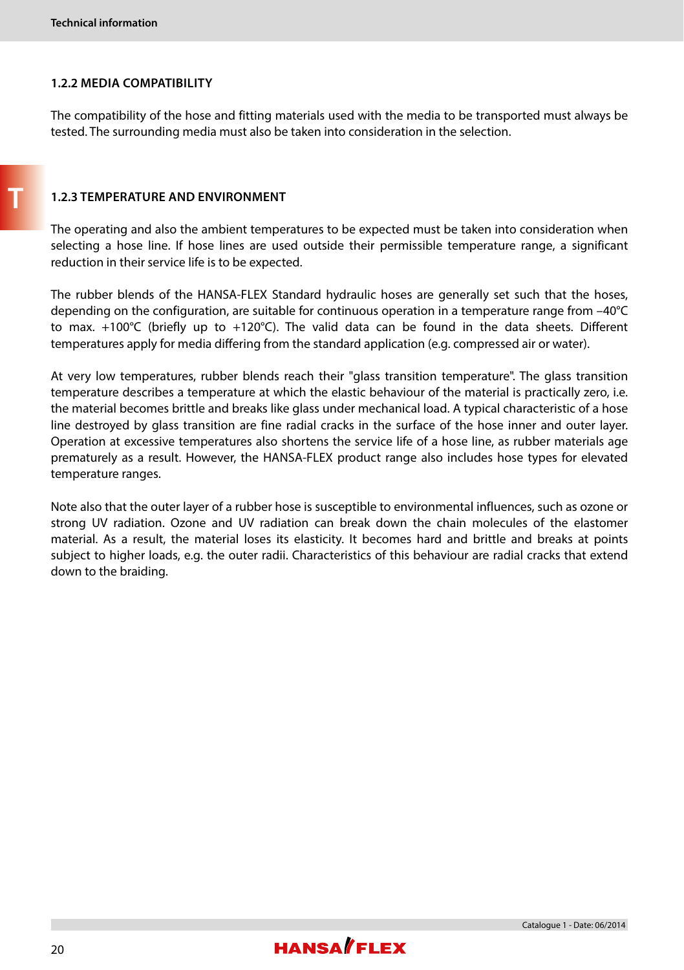#### **1.2.2 MEDIA COMPATIBILITY**

The compatibility of the hose and fitting materials used with the media to be transported must always be tested. The surrounding media must also be taken into consideration in the selection.

#### **1.2.3 TEMPERATURE AND ENVIRONMENT**

The operating and also the ambient temperatures to be expected must be taken into consideration when selecting a hose line. If hose lines are used outside their permissible temperature range, a significant reduction in their service life is to be expected.

The rubber blends of the HANSA-FLEX Standard hydraulic hoses are generally set such that the hoses, depending on the configuration, are suitable for continuous operation in a temperature range from –40°C to max. +100°C (briefly up to +120°C). The valid data can be found in the data sheets. Different temperatures apply for media differing from the standard application (e.g. compressed air or water).

At very low temperatures, rubber blends reach their "glass transition temperature". The glass transition temperature describes a temperature at which the elastic behaviour of the material is practically zero, i.e. the material becomes brittle and breaks like glass under mechanical load. A typical characteristic of a hose line destroyed by glass transition are fine radial cracks in the surface of the hose inner and outer layer. Operation at excessive temperatures also shortens the service life of a hose line, as rubber materials age prematurely as a result. However, the HANSA-FLEX product range also includes hose types for elevated temperature ranges.

Note also that the outer layer of a rubber hose is susceptible to environmental influences, such as ozone or strong UV radiation. Ozone and UV radiation can break down the chain molecules of the elastomer material. As a result, the material loses its elasticity. It becomes hard and brittle and breaks at points subject to higher loads, e.g. the outer radii. Characteristics of this behaviour are radial cracks that extend down to the braiding.

**T**

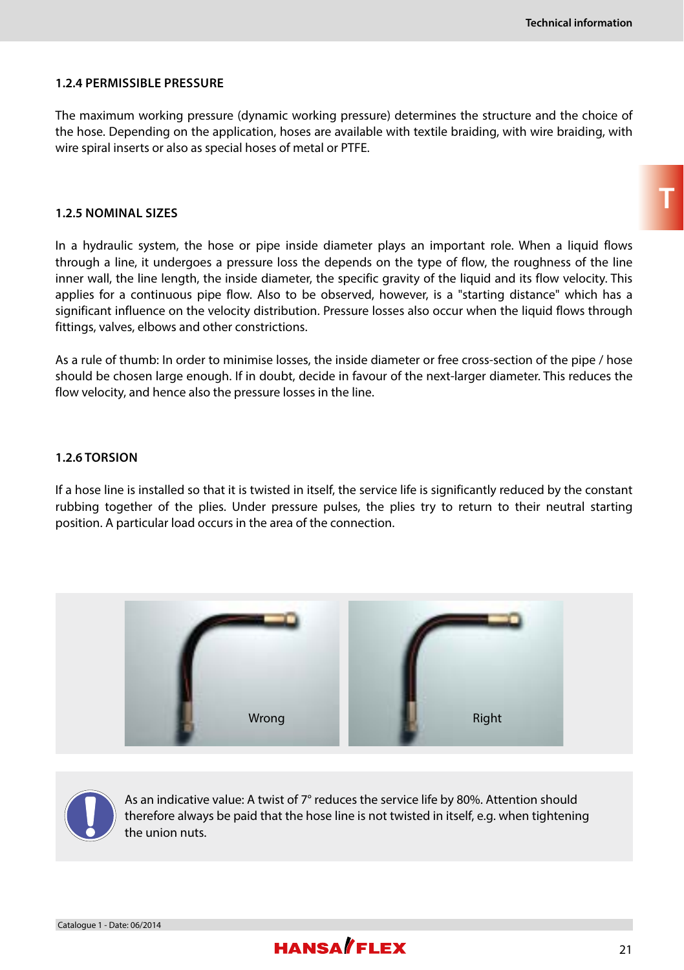#### **1.2.4 PERMISSIBLE PRESSURE**

The maximum working pressure (dynamic working pressure) determines the structure and the choice of the hose. Depending on the application, hoses are available with textile braiding, with wire braiding, with wire spiral inserts or also as special hoses of metal or PTFE.

#### **1.2.5 NOMINAL SIZES**

In a hydraulic system, the hose or pipe inside diameter plays an important role. When a liquid flows through a line, it undergoes a pressure loss the depends on the type of flow, the roughness of the line inner wall, the line length, the inside diameter, the specific gravity of the liquid and its flow velocity. This applies for a continuous pipe flow. Also to be observed, however, is a "starting distance" which has a significant influence on the velocity distribution. Pressure losses also occur when the liquid flows through fittings, valves, elbows and other constrictions.

As a rule of thumb: In order to minimise losses, the inside diameter or free cross-section of the pipe / hose should be chosen large enough. If in doubt, decide in favour of the next-larger diameter. This reduces the flow velocity, and hence also the pressure losses in the line.

#### **1.2.6 TORSION**

If a hose line is installed so that it is twisted in itself, the service life is significantly reduced by the constant rubbing together of the plies. Under pressure pulses, the plies try to return to their neutral starting position. A particular load occurs in the area of the connection.





As an indicative value: A twist of 7° reduces the service life by 80%. Attention should therefore always be paid that the hose line is not twisted in itself, e.g. when tightening the union nuts.

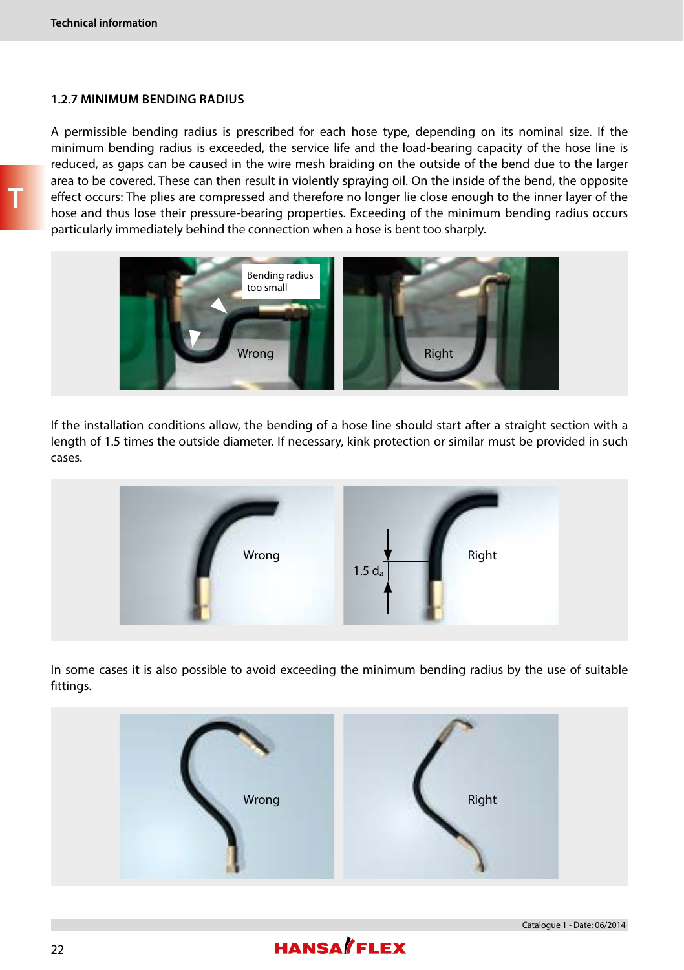#### **1.2.7 MINIMUM BENDING RADIUS**

A permissible bending radius is prescribed for each hose type, depending on its nominal size. If the minimum bending radius is exceeded, the service life and the load-bearing capacity of the hose line is reduced, as gaps can be caused in the wire mesh braiding on the outside of the bend due to the larger area to be covered. These can then result in violently spraying oil. On the inside of the bend, the opposite effect occurs: The plies are compressed and therefore no longer lie close enough to the inner layer of the hose and thus lose their pressure-bearing properties. Exceeding of the minimum bending radius occurs particularly immediately behind the connection when a hose is bent too sharply.



If the installation conditions allow, the bending of a hose line should start after a straight section with a length of 1.5 times the outside diameter. If necessary, kink protection or similar must be provided in such cases.



In some cases it is also possible to avoid exceeding the minimum bending radius by the use of suitable fittings.



# **HANSA**/FLEX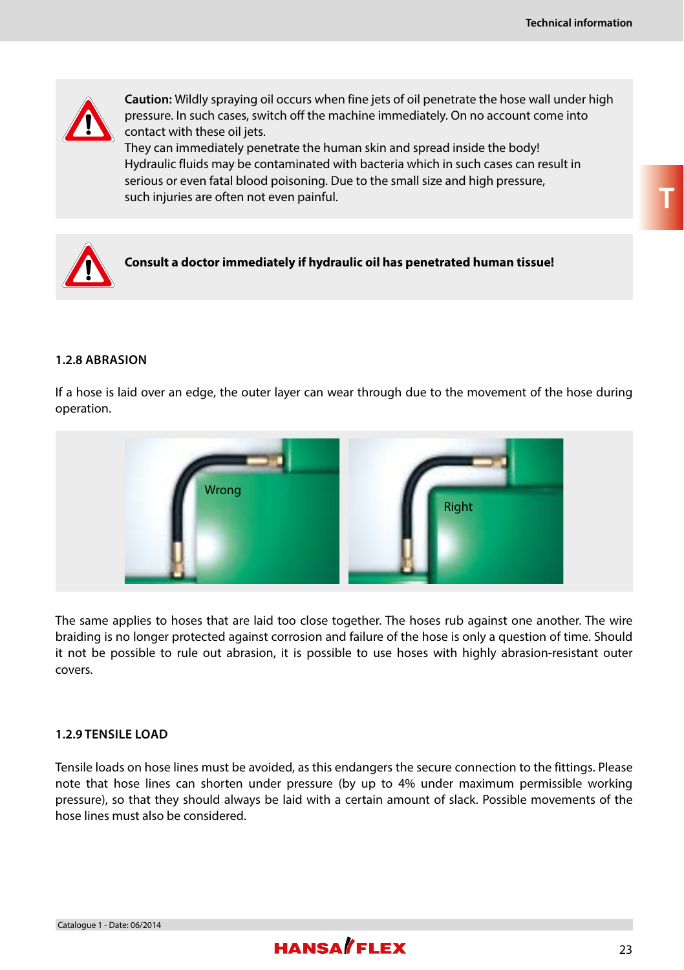**T**



**Caution:** Wildly spraying oil occurs when fine jets of oil penetrate the hose wall under high pressure. In such cases, switch off the machine immediately. On no account come into contact with these oil jets.

They can immediately penetrate the human skin and spread inside the body! Hydraulic fluids may be contaminated with bacteria which in such cases can result in serious or even fatal blood poisoning. Due to the small size and high pressure, such injuries are often not even painful.



#### **1.2.8 ABRASION**

If a hose is laid over an edge, the outer layer can wear through due to the movement of the hose during operation.



The same applies to hoses that are laid too close together. The hoses rub against one another. The wire braiding is no longer protected against corrosion and failure of the hose is only a question of time. Should it not be possible to rule out abrasion, it is possible to use hoses with highly abrasion-resistant outer covers.

#### **1.2.9 TENSILE LOAD**

Tensile loads on hose lines must be avoided, as this endangers the secure connection to the fittings. Please note that hose lines can shorten under pressure (by up to 4% under maximum permissible working pressure), so that they should always be laid with a certain amount of slack. Possible movements of the hose lines must also be considered.

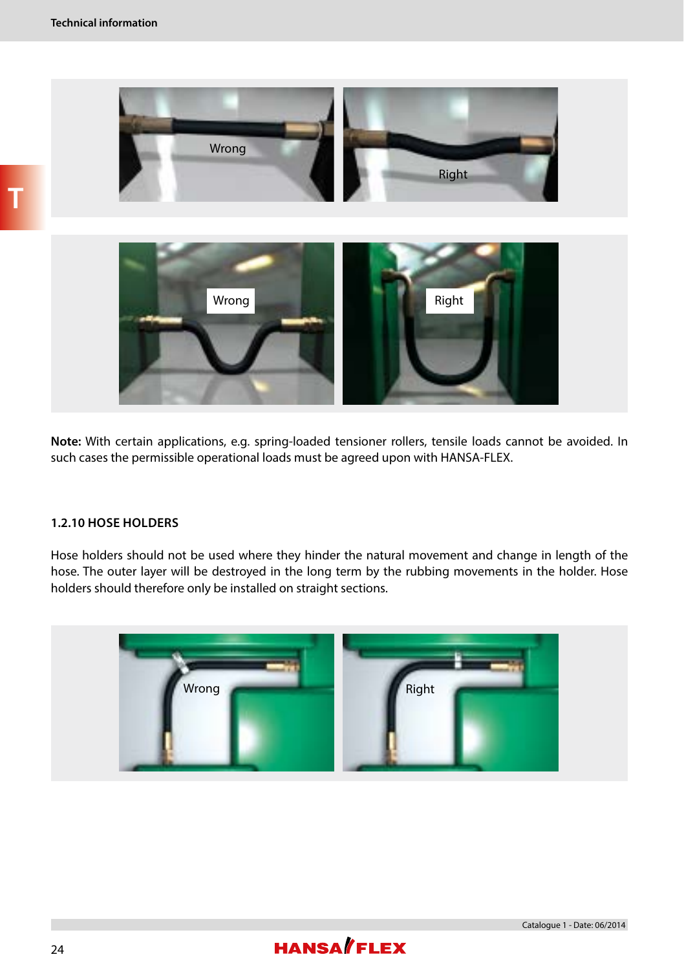



**Note:** With certain applications, e.g. spring-loaded tensioner rollers, tensile loads cannot be avoided. In such cases the permissible operational loads must be agreed upon with HANSA-FLEX.

#### **1.2.10 HOSE HOLDERS**

Hose holders should not be used where they hinder the natural movement and change in length of the hose. The outer layer will be destroyed in the long term by the rubbing movements in the holder. Hose holders should therefore only be installed on straight sections.



# **HANSA**/FLEX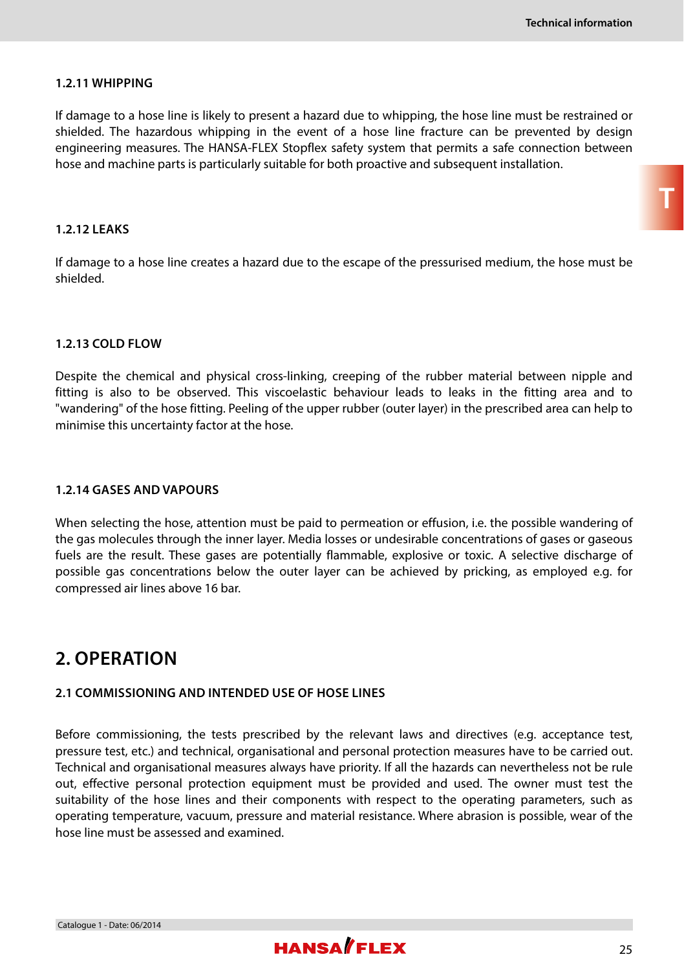**T**

#### **1.2.11 WHIPPING**

If damage to a hose line is likely to present a hazard due to whipping, the hose line must be restrained or shielded. The hazardous whipping in the event of a hose line fracture can be prevented by design engineering measures. The HANSA-FLEX Stopflex safety system that permits a safe connection between hose and machine parts is particularly suitable for both proactive and subsequent installation.

#### **1.2.12 LEAKS**

If damage to a hose line creates a hazard due to the escape of the pressurised medium, the hose must be shielded.

#### **1.2.13 COLD FLOW**

Despite the chemical and physical cross-linking, creeping of the rubber material between nipple and fitting is also to be observed. This viscoelastic behaviour leads to leaks in the fitting area and to "wandering" of the hose fitting. Peeling of the upper rubber (outer layer) in the prescribed area can help to minimise this uncertainty factor at the hose.

#### **1.2.14 GASES AND VAPOURS**

When selecting the hose, attention must be paid to permeation or effusion, i.e. the possible wandering of the gas molecules through the inner layer. Media losses or undesirable concentrations of gases or gaseous fuels are the result. These gases are potentially flammable, explosive or toxic. A selective discharge of possible gas concentrations below the outer layer can be achieved by pricking, as employed e.g. for compressed air lines above 16 bar.

### **2. OPERATION**

#### **2.1 COMMISSIONING AND INTENDED USE OF HOSE LINES**

Before commissioning, the tests prescribed by the relevant laws and directives (e.g. acceptance test, pressure test, etc.) and technical, organisational and personal protection measures have to be carried out. Technical and organisational measures always have priority. If all the hazards can nevertheless not be rule out, effective personal protection equipment must be provided and used. The owner must test the suitability of the hose lines and their components with respect to the operating parameters, such as operating temperature, vacuum, pressure and material resistance. Where abrasion is possible, wear of the hose line must be assessed and examined.

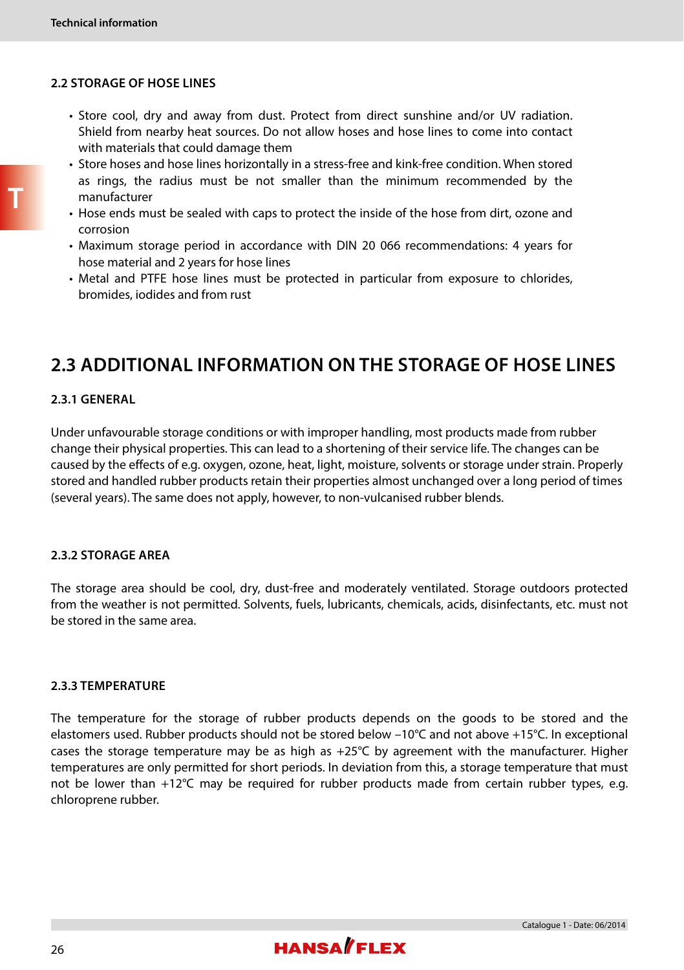#### **2.2 STORAGE OF HOSE LINES**

- Store cool, dry and away from dust. Protect from direct sunshine and/or UV radiation. Shield from nearby heat sources. Do not allow hoses and hose lines to come into contact with materials that could damage them
- Store hoses and hose lines horizontally in a stress-free and kink-free condition. When stored as rings, the radius must be not smaller than the minimum recommended by the manufacturer
- Hose ends must be sealed with caps to protect the inside of the hose from dirt, ozone and corrosion
- Maximum storage period in accordance with DIN 20 066 recommendations: 4 years for hose material and 2 years for hose lines
- Metal and PTFE hose lines must be protected in particular from exposure to chlorides, bromides, iodides and from rust

### **2.3 ADDITIONAL INFORMATION ON THE STORAGE OF HOSE LINES**

#### **2.3.1 GENERAL**

Under unfavourable storage conditions or with improper handling, most products made from rubber change their physical properties. This can lead to a shortening of their service life. The changes can be caused by the effects of e.g. oxygen, ozone, heat, light, moisture, solvents or storage under strain. Properly stored and handled rubber products retain their properties almost unchanged over a long period of times (several years). The same does not apply, however, to non-vulcanised rubber blends.

#### **2.3.2 STORAGE AREA**

The storage area should be cool, dry, dust-free and moderately ventilated. Storage outdoors protected from the weather is not permitted. Solvents, fuels, lubricants, chemicals, acids, disinfectants, etc. must not be stored in the same area.

#### **2.3.3 TEMPERATURE**

The temperature for the storage of rubber products depends on the goods to be stored and the elastomers used. Rubber products should not be stored below –10°C and not above +15°C. In exceptional cases the storage temperature may be as high as  $+25^{\circ}$ C by agreement with the manufacturer. Higher temperatures are only permitted for short periods. In deviation from this, a storage temperature that must not be lower than +12°C may be required for rubber products made from certain rubber types, e.g. chloroprene rubber.

**T**

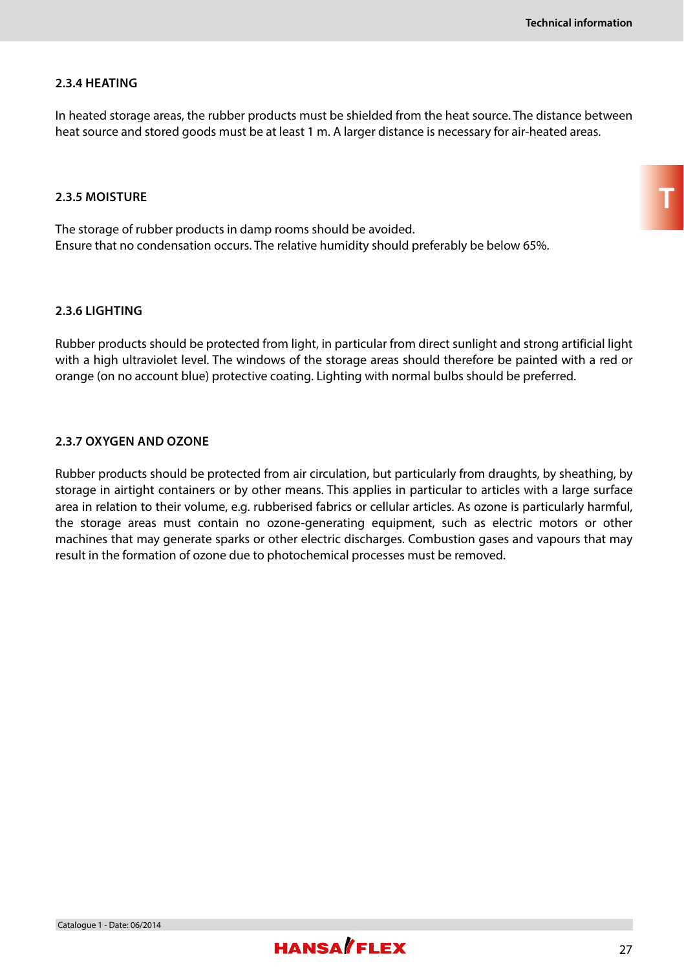#### **2.3.4 HEATING**

In heated storage areas, the rubber products must be shielded from the heat source. The distance between heat source and stored goods must be at least 1 m. A larger distance is necessary for air-heated areas.

#### **2.3.5 MOISTURE**

The storage of rubber products in damp rooms should be avoided. Ensure that no condensation occurs. The relative humidity should preferably be below 65%.

#### **2.3.6 LIGHTING**

Rubber products should be protected from light, in particular from direct sunlight and strong artificial light with a high ultraviolet level. The windows of the storage areas should therefore be painted with a red or orange (on no account blue) protective coating. Lighting with normal bulbs should be preferred.

#### **2.3.7 OXYGEN AND OZONE**

Rubber products should be protected from air circulation, but particularly from draughts, by sheathing, by storage in airtight containers or by other means. This applies in particular to articles with a large surface area in relation to their volume, e.g. rubberised fabrics or cellular articles. As ozone is particularly harmful, the storage areas must contain no ozone-generating equipment, such as electric motors or other machines that may generate sparks or other electric discharges. Combustion gases and vapours that may result in the formation of ozone due to photochemical processes must be removed.

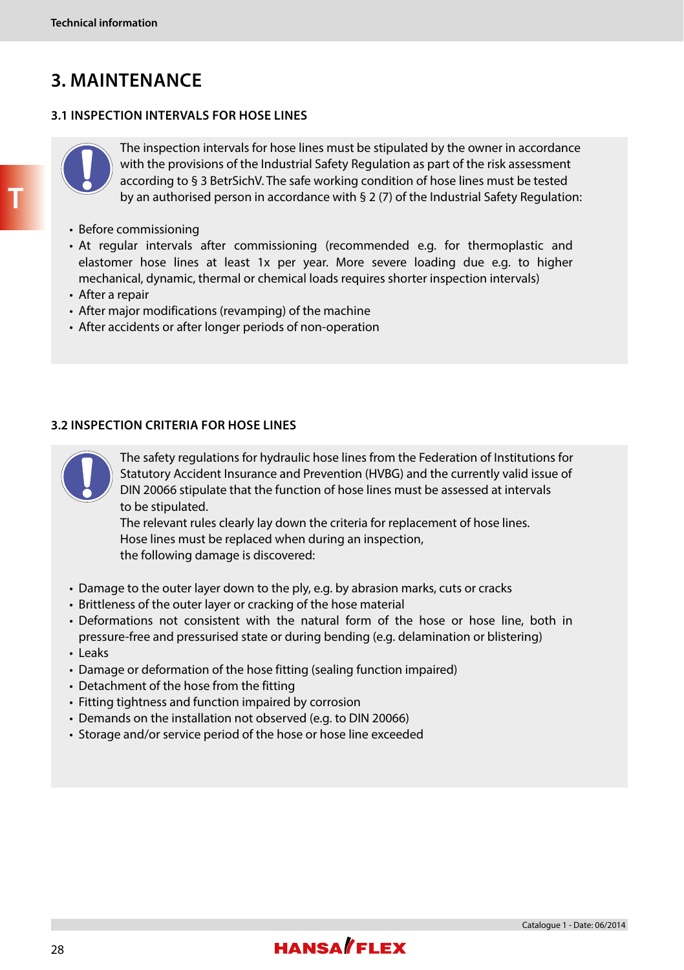# **3. MAINTENANCE**

#### **3.1 INSPECTION INTERVALS FOR HOSE LINES**



The inspection intervals for hose lines must be stipulated by the owner in accordance with the provisions of the Industrial Safety Regulation as part of the risk assessment according to § 3 BetrSichV. The safe working condition of hose lines must be tested by an authorised person in accordance with § 2 (7) of the Industrial Safety Regulation:

- Before commissioning
- At regular intervals after commissioning (recommended e.g. for thermoplastic and elastomer hose lines at least 1x per year. More severe loading due e.g. to higher mechanical, dynamic, thermal or chemical loads requires shorter inspection intervals)
- After a repair
- After major modifications (revamping) of the machine
- After accidents or after longer periods of non-operation

#### **3.2 INSPECTION CRITERIA FOR HOSE LINES**



The safety regulations for hydraulic hose lines from the Federation of Institutions for Statutory Accident Insurance and Prevention (HVBG) and the currently valid issue of DIN 20066 stipulate that the function of hose lines must be assessed at intervals to be stipulated.

The relevant rules clearly lay down the criteria for replacement of hose lines. Hose lines must be replaced when during an inspection, the following damage is discovered:

- Damage to the outer layer down to the ply, e.g. by abrasion marks, cuts or cracks
- Brittleness of the outer layer or cracking of the hose material
- Deformations not consistent with the natural form of the hose or hose line, both in pressure-free and pressurised state or during bending (e.g. delamination or blistering)
- Leaks
- Damage or deformation of the hose fitting (sealing function impaired)
- Detachment of the hose from the fitting
- Fitting tightness and function impaired by corrosion
- Demands on the installation not observed (e.g. to DIN 20066)
- Storage and/or service period of the hose or hose line exceeded

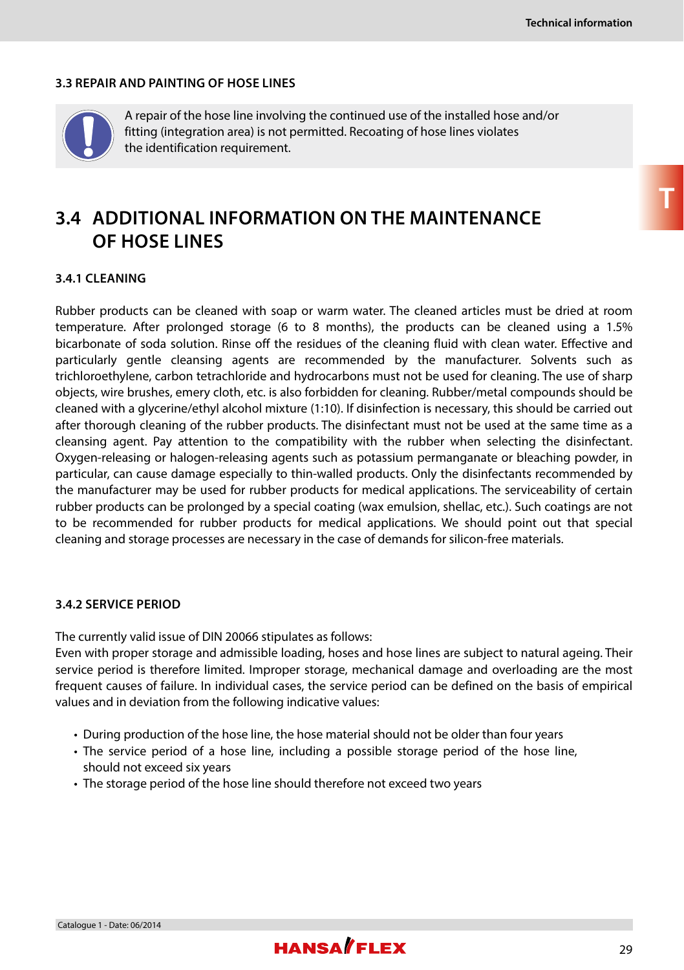#### **3.3 REPAIR AND PAINTING OF HOSE LINES**



A repair of the hose line involving the continued use of the installed hose and/or fitting (integration area) is not permitted. Recoating of hose lines violates the identification requirement.

### **3.4 ADDITIONAL INFORMATION ON THE MAINTENANCE OF HOSE LINES**

#### **3.4.1 CLEANING**

Rubber products can be cleaned with soap or warm water. The cleaned articles must be dried at room temperature. After prolonged storage (6 to 8 months), the products can be cleaned using a 1.5% bicarbonate of soda solution. Rinse off the residues of the cleaning fluid with clean water. Effective and particularly gentle cleansing agents are recommended by the manufacturer. Solvents such as trichloroethylene, carbon tetrachloride and hydrocarbons must not be used for cleaning. The use of sharp objects, wire brushes, emery cloth, etc. is also forbidden for cleaning. Rubber/metal compounds should be cleaned with a glycerine/ethyl alcohol mixture (1:10). If disinfection is necessary, this should be carried out after thorough cleaning of the rubber products. The disinfectant must not be used at the same time as a cleansing agent. Pay attention to the compatibility with the rubber when selecting the disinfectant. Oxygen-releasing or halogen-releasing agents such as potassium permanganate or bleaching powder, in particular, can cause damage especially to thin-walled products. Only the disinfectants recommended by the manufacturer may be used for rubber products for medical applications. The serviceability of certain rubber products can be prolonged by a special coating (wax emulsion, shellac, etc.). Such coatings are not to be recommended for rubber products for medical applications. We should point out that special cleaning and storage processes are necessary in the case of demands for silicon-free materials.

#### **3.4.2 SERVICE PERIOD**

The currently valid issue of DIN 20066 stipulates as follows:

Even with proper storage and admissible loading, hoses and hose lines are subject to natural ageing. Their service period is therefore limited. Improper storage, mechanical damage and overloading are the most frequent causes of failure. In individual cases, the service period can be defined on the basis of empirical values and in deviation from the following indicative values:

- During production of the hose line, the hose material should not be older than four years
- The service period of a hose line, including a possible storage period of the hose line, should not exceed six years
- The storage period of the hose line should therefore not exceed two years

**T**